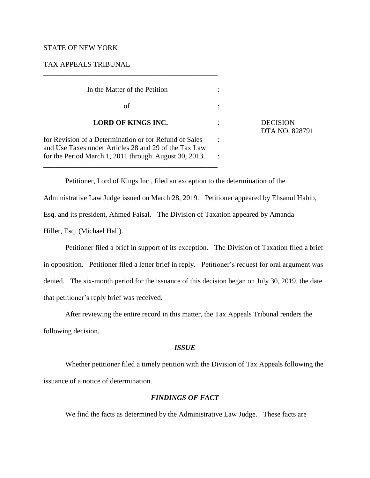### STATE OF NEW YORK

# TAX APPEALS TRIBUNAL

\_\_\_\_\_\_\_\_\_\_\_\_\_\_\_\_\_\_\_\_\_\_\_\_\_\_\_\_\_\_\_\_\_\_\_\_\_\_\_\_\_\_\_\_\_\_\_\_

| In the Matter of the Petition                                                                                   |                                   |
|-----------------------------------------------------------------------------------------------------------------|-----------------------------------|
| of                                                                                                              |                                   |
| <b>LORD OF KINGS INC.</b>                                                                                       | <b>DECISION</b><br>DTA NO. 828791 |
| for Revision of a Determination or for Refund of Sales<br>and Use Taxes under Articles 28 and 29 of the Tax Law |                                   |
| for the Period March 1, 2011 through August 30, 2013.                                                           |                                   |

Petitioner, Lord of Kings Inc., filed an exception to the determination of the Administrative Law Judge issued on March 28, 2019. Petitioner appeared by Ehsanul Habib, Esq. and its president, Ahmed Faisal. The Division of Taxation appeared by Amanda Hiller, Esq. (Michael Hall).

Petitioner filed a brief in support of its exception. The Division of Taxation filed a brief in opposition. Petitioner filed a letter brief in reply. Petitioner's request for oral argument was denied. The six-month period for the issuance of this decision began on July 30, 2019, the date that petitioner's reply brief was received.

After reviewing the entire record in this matter, the Tax Appeals Tribunal renders the

following decision.

#### *ISSUE*

Whether petitioner filed a timely petition with the Division of Tax Appeals following the issuance of a notice of determination.

# *FINDINGS OF FACT*

We find the facts as determined by the Administrative Law Judge. These facts are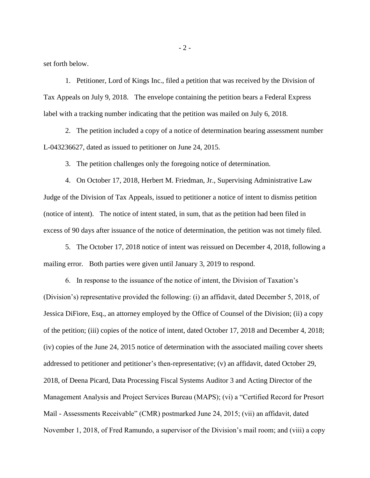set forth below.

1. Petitioner, Lord of Kings Inc., filed a petition that was received by the Division of Tax Appeals on July 9, 2018. The envelope containing the petition bears a Federal Express label with a tracking number indicating that the petition was mailed on July 6, 2018.

2. The petition included a copy of a notice of determination bearing assessment number L-043236627, dated as issued to petitioner on June 24, 2015.

3. The petition challenges only the foregoing notice of determination.

4. On October 17, 2018, Herbert M. Friedman, Jr., Supervising Administrative Law Judge of the Division of Tax Appeals, issued to petitioner a notice of intent to dismiss petition (notice of intent). The notice of intent stated, in sum, that as the petition had been filed in excess of 90 days after issuance of the notice of determination, the petition was not timely filed.

5. The October 17, 2018 notice of intent was reissued on December 4, 2018, following a mailing error. Both parties were given until January 3, 2019 to respond.

6. In response to the issuance of the notice of intent, the Division of Taxation's (Division's) representative provided the following: (i) an affidavit, dated December 5, 2018, of Jessica DiFiore, Esq., an attorney employed by the Office of Counsel of the Division; (ii) a copy of the petition; (iii) copies of the notice of intent, dated October 17, 2018 and December 4, 2018; (iv) copies of the June 24, 2015 notice of determination with the associated mailing cover sheets addressed to petitioner and petitioner's then-representative; (v) an affidavit, dated October 29, 2018, of Deena Picard, Data Processing Fiscal Systems Auditor 3 and Acting Director of the Management Analysis and Project Services Bureau (MAPS); (vi) a "Certified Record for Presort Mail - Assessments Receivable" (CMR) postmarked June 24, 2015; (vii) an affidavit, dated November 1, 2018, of Fred Ramundo, a supervisor of the Division's mail room; and (viii) a copy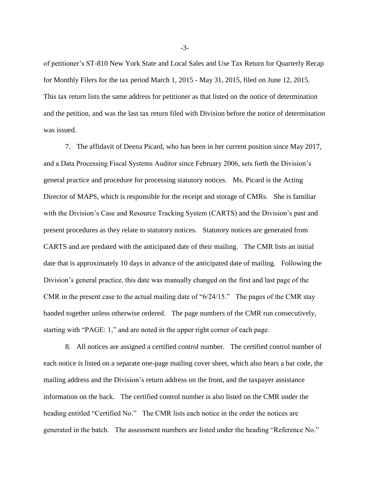of petitioner's ST-810 New York State and Local Sales and Use Tax Return for Quarterly Recap for Monthly Filers for the tax period March 1, 2015 - May 31, 2015, filed on June 12, 2015. This tax return lists the same address for petitioner as that listed on the notice of determination and the petition, and was the last tax return filed with Division before the notice of determination was issued.

7. The affidavit of Deena Picard, who has been in her current position since May 2017, and a Data Processing Fiscal Systems Auditor since February 2006, sets forth the Division's general practice and procedure for processing statutory notices. Ms. Picard is the Acting Director of MAPS, which is responsible for the receipt and storage of CMRs. She is familiar with the Division's Case and Resource Tracking System (CARTS) and the Division's past and present procedures as they relate to statutory notices. Statutory notices are generated from CARTS and are predated with the anticipated date of their mailing. The CMR lists an initial date that is approximately 10 days in advance of the anticipated date of mailing. Following the Division's general practice, this date was manually changed on the first and last page of the CMR in the present case to the actual mailing date of "6/24/15." The pages of the CMR stay banded together unless otherwise ordered. The page numbers of the CMR run consecutively, starting with "PAGE: 1," and are noted in the upper right corner of each page.

8. All notices are assigned a certified control number. The certified control number of each notice is listed on a separate one-page mailing cover sheet, which also bears a bar code, the mailing address and the Division's return address on the front, and the taxpayer assistance information on the back. The certified control number is also listed on the CMR under the heading entitled "Certified No." The CMR lists each notice in the order the notices are generated in the batch. The assessment numbers are listed under the heading "Reference No."

-3-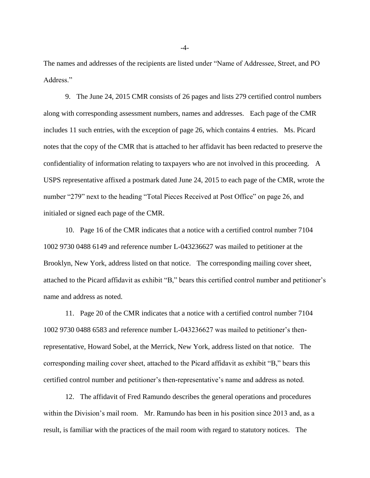The names and addresses of the recipients are listed under "Name of Addressee, Street, and PO Address."

9. The June 24, 2015 CMR consists of 26 pages and lists 279 certified control numbers along with corresponding assessment numbers, names and addresses. Each page of the CMR includes 11 such entries, with the exception of page 26, which contains 4 entries. Ms. Picard notes that the copy of the CMR that is attached to her affidavit has been redacted to preserve the confidentiality of information relating to taxpayers who are not involved in this proceeding. A USPS representative affixed a postmark dated June 24, 2015 to each page of the CMR, wrote the number "279" next to the heading "Total Pieces Received at Post Office" on page 26, and initialed or signed each page of the CMR.

10. Page 16 of the CMR indicates that a notice with a certified control number 7104 1002 9730 0488 6149 and reference number L-043236627 was mailed to petitioner at the Brooklyn, New York, address listed on that notice. The corresponding mailing cover sheet, attached to the Picard affidavit as exhibit "B," bears this certified control number and petitioner's name and address as noted.

11. Page 20 of the CMR indicates that a notice with a certified control number 7104 1002 9730 0488 6583 and reference number L-043236627 was mailed to petitioner's thenrepresentative, Howard Sobel, at the Merrick, New York, address listed on that notice. The corresponding mailing cover sheet, attached to the Picard affidavit as exhibit "B," bears this certified control number and petitioner's then-representative's name and address as noted.

12. The affidavit of Fred Ramundo describes the general operations and procedures within the Division's mail room. Mr. Ramundo has been in his position since 2013 and, as a result, is familiar with the practices of the mail room with regard to statutory notices. The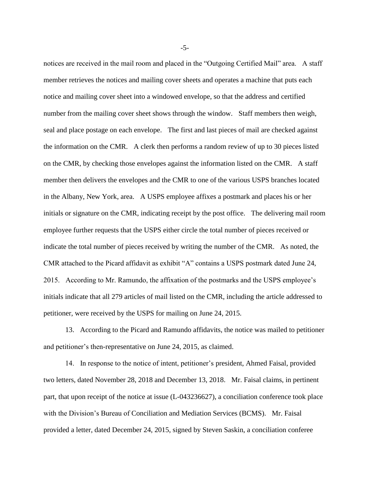notices are received in the mail room and placed in the "Outgoing Certified Mail" area. A staff member retrieves the notices and mailing cover sheets and operates a machine that puts each notice and mailing cover sheet into a windowed envelope, so that the address and certified number from the mailing cover sheet shows through the window. Staff members then weigh, seal and place postage on each envelope. The first and last pieces of mail are checked against the information on the CMR. A clerk then performs a random review of up to 30 pieces listed on the CMR, by checking those envelopes against the information listed on the CMR. A staff member then delivers the envelopes and the CMR to one of the various USPS branches located in the Albany, New York, area. A USPS employee affixes a postmark and places his or her initials or signature on the CMR, indicating receipt by the post office. The delivering mail room employee further requests that the USPS either circle the total number of pieces received or indicate the total number of pieces received by writing the number of the CMR. As noted, the CMR attached to the Picard affidavit as exhibit "A" contains a USPS postmark dated June 24, 2015. According to Mr. Ramundo, the affixation of the postmarks and the USPS employee's initials indicate that all 279 articles of mail listed on the CMR, including the article addressed to petitioner, were received by the USPS for mailing on June 24, 2015.

13. According to the Picard and Ramundo affidavits, the notice was mailed to petitioner and petitioner's then-representative on June 24, 2015, as claimed.

14. In response to the notice of intent, petitioner's president, Ahmed Faisal, provided two letters, dated November 28, 2018 and December 13, 2018. Mr. Faisal claims, in pertinent part, that upon receipt of the notice at issue (L-043236627), a conciliation conference took place with the Division's Bureau of Conciliation and Mediation Services (BCMS). Mr. Faisal provided a letter, dated December 24, 2015, signed by Steven Saskin, a conciliation conferee

-5-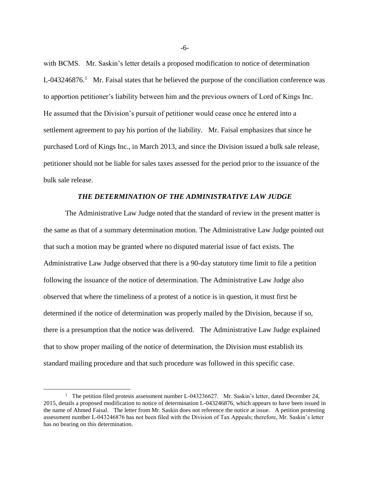with BCMS. Mr. Saskin's letter details a proposed modification to notice of determination  $L$ -043246876.<sup>1</sup> Mr. Faisal states that he believed the purpose of the conciliation conference was to apportion petitioner's liability between him and the previous owners of Lord of Kings Inc. He assumed that the Division's pursuit of petitioner would cease once he entered into a settlement agreement to pay his portion of the liability. Mr. Faisal emphasizes that since he purchased Lord of Kings Inc., in March 2013, and since the Division issued a bulk sale release, petitioner should not be liable for sales taxes assessed for the period prior to the issuance of the bulk sale release.

### *THE DETERMINATION OF THE ADMINISTRATIVE LAW JUDGE*

The Administrative Law Judge noted that the standard of review in the present matter is the same as that of a summary determination motion. The Administrative Law Judge pointed out that such a motion may be granted where no disputed material issue of fact exists. The Administrative Law Judge observed that there is a 90-day statutory time limit to file a petition following the issuance of the notice of determination. The Administrative Law Judge also observed that where the timeliness of a protest of a notice is in question, it must first be determined if the notice of determination was properly mailed by the Division, because if so, there is a presumption that the notice was delivered. The Administrative Law Judge explained that to show proper mailing of the notice of determination, the Division must establish its standard mailing procedure and that such procedure was followed in this specific case.

 $\overline{a}$ 

-6-

<sup>&</sup>lt;sup>1</sup> The petition filed protests assessment number L-043236627. Mr. Saskin's letter, dated December 24, 2015, details a proposed modification to notice of determination L-043246876, which appears to have been issued in the name of Ahmed Faisal. The letter from Mr. Saskin does not reference the notice at issue. A petition protesting assessment number L-043246876 has not been filed with the Division of Tax Appeals; therefore, Mr. Saskin's letter has no bearing on this determination.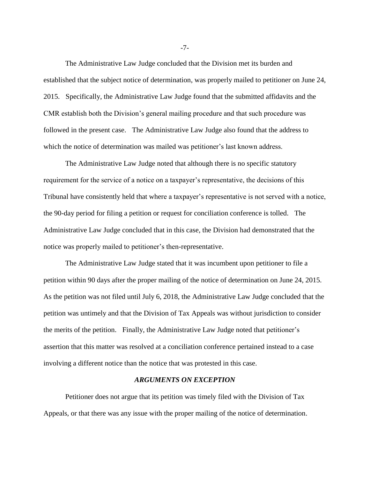The Administrative Law Judge concluded that the Division met its burden and established that the subject notice of determination, was properly mailed to petitioner on June 24, 2015. Specifically, the Administrative Law Judge found that the submitted affidavits and the CMR establish both the Division's general mailing procedure and that such procedure was followed in the present case. The Administrative Law Judge also found that the address to which the notice of determination was mailed was petitioner's last known address.

The Administrative Law Judge noted that although there is no specific statutory requirement for the service of a notice on a taxpayer's representative, the decisions of this Tribunal have consistently held that where a taxpayer's representative is not served with a notice, the 90-day period for filing a petition or request for conciliation conference is tolled. The Administrative Law Judge concluded that in this case, the Division had demonstrated that the notice was properly mailed to petitioner's then-representative.

The Administrative Law Judge stated that it was incumbent upon petitioner to file a petition within 90 days after the proper mailing of the notice of determination on June 24, 2015. As the petition was not filed until July 6, 2018, the Administrative Law Judge concluded that the petition was untimely and that the Division of Tax Appeals was without jurisdiction to consider the merits of the petition. Finally, the Administrative Law Judge noted that petitioner's assertion that this matter was resolved at a conciliation conference pertained instead to a case involving a different notice than the notice that was protested in this case.

## *ARGUMENTS ON EXCEPTION*

Petitioner does not argue that its petition was timely filed with the Division of Tax Appeals, or that there was any issue with the proper mailing of the notice of determination.

-7-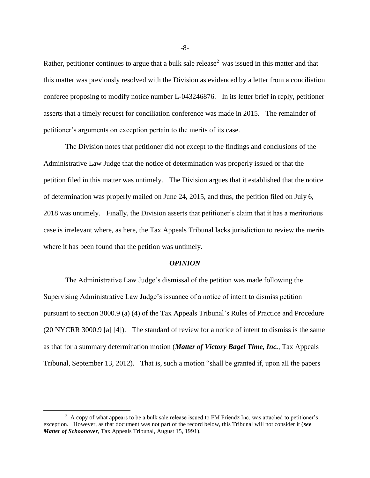Rather, petitioner continues to argue that a bulk sale release<sup>2</sup> was issued in this matter and that this matter was previously resolved with the Division as evidenced by a letter from a conciliation conferee proposing to modify notice number L-043246876. In its letter brief in reply, petitioner asserts that a timely request for conciliation conference was made in 2015. The remainder of petitioner's arguments on exception pertain to the merits of its case.

The Division notes that petitioner did not except to the findings and conclusions of the Administrative Law Judge that the notice of determination was properly issued or that the petition filed in this matter was untimely. The Division argues that it established that the notice of determination was properly mailed on June 24, 2015, and thus, the petition filed on July 6, 2018 was untimely. Finally, the Division asserts that petitioner's claim that it has a meritorious case is irrelevant where, as here, the Tax Appeals Tribunal lacks jurisdiction to review the merits where it has been found that the petition was untimely.

#### *OPINION*

The Administrative Law Judge's dismissal of the petition was made following the Supervising Administrative Law Judge's issuance of a notice of intent to dismiss petition pursuant to section 3000.9 (a) (4) of the Tax Appeals Tribunal's Rules of Practice and Procedure (20 NYCRR 3000.9 [a] [4]). The standard of review for a notice of intent to dismiss is the same as that for a summary determination motion (*Matter of Victory Bagel Time, Inc.*, Tax Appeals Tribunal, September 13, 2012). That is, such a motion "shall be granted if, upon all the papers

 $\overline{a}$ 

<sup>&</sup>lt;sup>2</sup> A copy of what appears to be a bulk sale release issued to FM Friendz Inc. was attached to petitioner's exception. However, as that document was not part of the record below, this Tribunal will not consider it (*see Matter of Schoonover*, Tax Appeals Tribunal, August 15, 1991).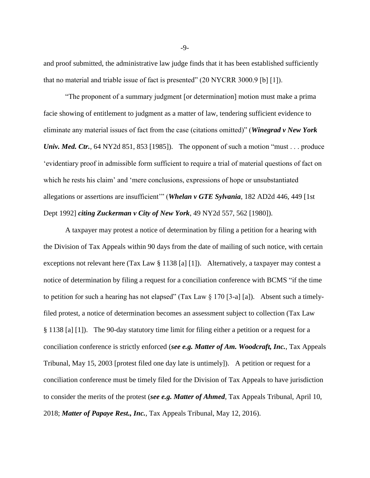and proof submitted, the administrative law judge finds that it has been established sufficiently that no material and triable issue of fact is presented" (20 NYCRR 3000.9 [b] [1]).

"The proponent of a summary judgment [or determination] motion must make a prima facie showing of entitlement to judgment as a matter of law, tendering sufficient evidence to eliminate any material issues of fact from the case (citations omitted)" (*Winegrad v New York Univ. Med. Ctr.*, 64 NY2d 851, 853 [1985]). The opponent of such a motion "must . . . produce 'evidentiary proof in admissible form sufficient to require a trial of material questions of fact on which he rests his claim' and 'mere conclusions, expressions of hope or unsubstantiated allegations or assertions are insufficient'" (*Whelan v GTE Sylvania*, 182 AD2d 446, 449 [1st Dept 1992] *citing Zuckerman v City of New York*, 49 NY2d 557, 562 [1980]).

A taxpayer may protest a notice of determination by filing a petition for a hearing with the Division of Tax Appeals within 90 days from the date of mailing of such notice, with certain exceptions not relevant here (Tax Law § 1138 [a] [1]). Alternatively, a taxpayer may contest a notice of determination by filing a request for a conciliation conference with BCMS "if the time to petition for such a hearing has not elapsed" (Tax Law  $\S 170$  [3-a] [a]). Absent such a timelyfiled protest, a notice of determination becomes an assessment subject to collection (Tax Law § 1138 [a] [1]). The 90-day statutory time limit for filing either a petition or a request for a conciliation conference is strictly enforced (*see e.g. Matter of Am. Woodcraft, Inc.*, Tax Appeals Tribunal, May 15, 2003 [protest filed one day late is untimely]). A petition or request for a conciliation conference must be timely filed for the Division of Tax Appeals to have jurisdiction to consider the merits of the protest (*see e.g. Matter of Ahmed*, Tax Appeals Tribunal, April 10, 2018; *Matter of Papaye Rest., Inc.*, Tax Appeals Tribunal, May 12, 2016).

-9-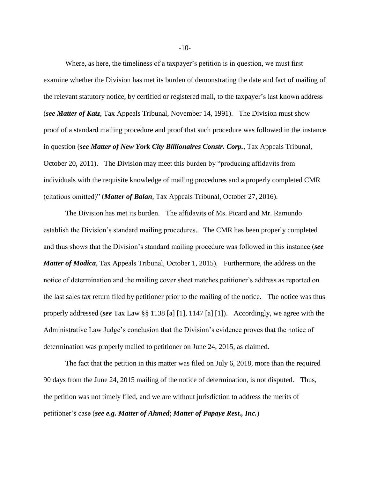Where, as here, the timeliness of a taxpayer's petition is in question, we must first examine whether the Division has met its burden of demonstrating the date and fact of mailing of the relevant statutory notice, by certified or registered mail, to the taxpayer's last known address (*see Matter of Katz*, Tax Appeals Tribunal, November 14, 1991). The Division must show proof of a standard mailing procedure and proof that such procedure was followed in the instance in question (*see Matter of New York City Billionaires Constr. Corp.*, Tax Appeals Tribunal, October 20, 2011). The Division may meet this burden by "producing affidavits from individuals with the requisite knowledge of mailing procedures and a properly completed CMR (citations omitted)" (*Matter of Balan*, Tax Appeals Tribunal, October 27, 2016).

The Division has met its burden. The affidavits of Ms. Picard and Mr. Ramundo establish the Division's standard mailing procedures. The CMR has been properly completed and thus shows that the Division's standard mailing procedure was followed in this instance (*see Matter of Modica*, Tax Appeals Tribunal, October 1, 2015). Furthermore, the address on the notice of determination and the mailing cover sheet matches petitioner's address as reported on the last sales tax return filed by petitioner prior to the mailing of the notice. The notice was thus properly addressed (*see* Tax Law §§ 1138 [a] [1], 1147 [a] [1]). Accordingly, we agree with the Administrative Law Judge's conclusion that the Division's evidence proves that the notice of determination was properly mailed to petitioner on June 24, 2015, as claimed.

The fact that the petition in this matter was filed on July 6, 2018, more than the required 90 days from the June 24, 2015 mailing of the notice of determination, is not disputed. Thus, the petition was not timely filed, and we are without jurisdiction to address the merits of petitioner's case (*see e.g. Matter of Ahmed*; *Matter of Papaye Rest., Inc.*)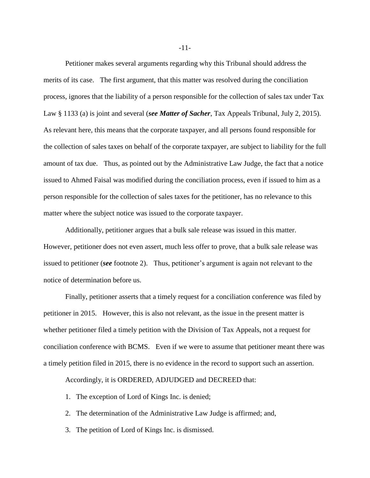Petitioner makes several arguments regarding why this Tribunal should address the merits of its case. The first argument, that this matter was resolved during the conciliation process, ignores that the liability of a person responsible for the collection of sales tax under Tax Law § 1133 (a) is joint and several (*see Matter of Sacher*, Tax Appeals Tribunal, July 2, 2015). As relevant here, this means that the corporate taxpayer, and all persons found responsible for the collection of sales taxes on behalf of the corporate taxpayer, are subject to liability for the full amount of tax due. Thus, as pointed out by the Administrative Law Judge, the fact that a notice issued to Ahmed Faisal was modified during the conciliation process, even if issued to him as a person responsible for the collection of sales taxes for the petitioner, has no relevance to this matter where the subject notice was issued to the corporate taxpayer.

Additionally, petitioner argues that a bulk sale release was issued in this matter. However, petitioner does not even assert, much less offer to prove, that a bulk sale release was issued to petitioner (*see* footnote 2). Thus, petitioner's argument is again not relevant to the notice of determination before us.

Finally, petitioner asserts that a timely request for a conciliation conference was filed by petitioner in 2015. However, this is also not relevant, as the issue in the present matter is whether petitioner filed a timely petition with the Division of Tax Appeals, not a request for conciliation conference with BCMS. Even if we were to assume that petitioner meant there was a timely petition filed in 2015, there is no evidence in the record to support such an assertion.

Accordingly, it is ORDERED, ADJUDGED and DECREED that:

- 1. The exception of Lord of Kings Inc. is denied;
- 2. The determination of the Administrative Law Judge is affirmed; and,
- 3. The petition of Lord of Kings Inc. is dismissed.